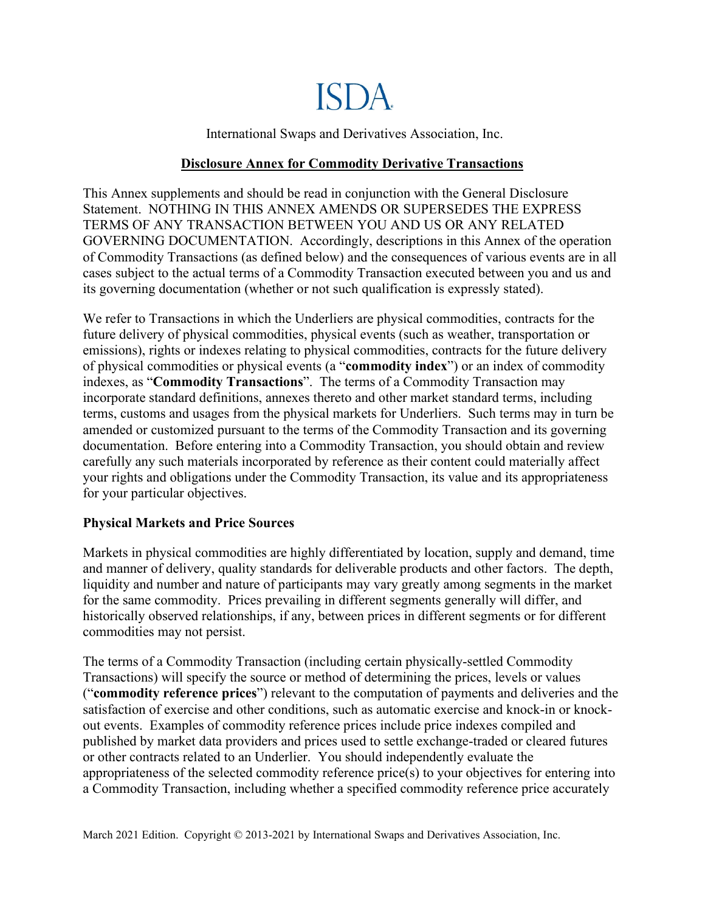

International Swaps and Derivatives Association, Inc.

## **Disclosure Annex for Commodity Derivative Transactions**

This Annex supplements and should be read in conjunction with the General Disclosure Statement. NOTHING IN THIS ANNEX AMENDS OR SUPERSEDES THE EXPRESS TERMS OF ANY TRANSACTION BETWEEN YOU AND US OR ANY RELATED GOVERNING DOCUMENTATION. Accordingly, descriptions in this Annex of the operation of Commodity Transactions (as defined below) and the consequences of various events are in all cases subject to the actual terms of a Commodity Transaction executed between you and us and its governing documentation (whether or not such qualification is expressly stated).

We refer to Transactions in which the Underliers are physical commodities, contracts for the future delivery of physical commodities, physical events (such as weather, transportation or emissions), rights or indexes relating to physical commodities, contracts for the future delivery of physical commodities or physical events (a "**commodity index**") or an index of commodity indexes, as "**Commodity Transactions**". The terms of a Commodity Transaction may incorporate standard definitions, annexes thereto and other market standard terms, including terms, customs and usages from the physical markets for Underliers. Such terms may in turn be amended or customized pursuant to the terms of the Commodity Transaction and its governing documentation. Before entering into a Commodity Transaction, you should obtain and review carefully any such materials incorporated by reference as their content could materially affect your rights and obligations under the Commodity Transaction, its value and its appropriateness for your particular objectives.

## **Physical Markets and Price Sources**

Markets in physical commodities are highly differentiated by location, supply and demand, time and manner of delivery, quality standards for deliverable products and other factors. The depth, liquidity and number and nature of participants may vary greatly among segments in the market for the same commodity. Prices prevailing in different segments generally will differ, and historically observed relationships, if any, between prices in different segments or for different commodities may not persist.

The terms of a Commodity Transaction (including certain physically-settled Commodity Transactions) will specify the source or method of determining the prices, levels or values ("**commodity reference prices**") relevant to the computation of payments and deliveries and the satisfaction of exercise and other conditions, such as automatic exercise and knock-in or knockout events. Examples of commodity reference prices include price indexes compiled and published by market data providers and prices used to settle exchange-traded or cleared futures or other contracts related to an Underlier. You should independently evaluate the appropriateness of the selected commodity reference price(s) to your objectives for entering into a Commodity Transaction, including whether a specified commodity reference price accurately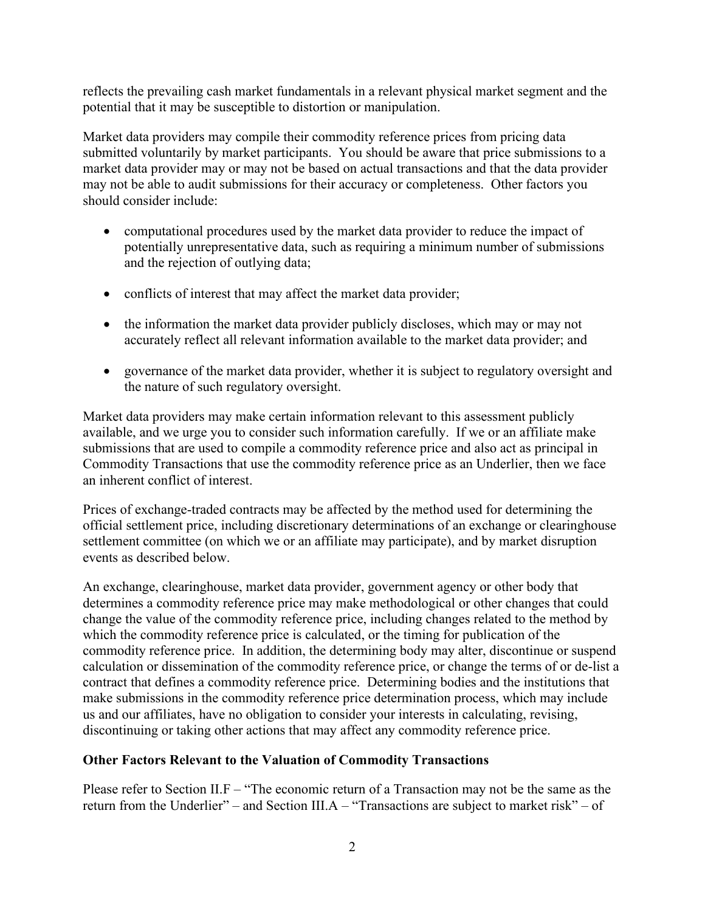reflects the prevailing cash market fundamentals in a relevant physical market segment and the potential that it may be susceptible to distortion or manipulation.

Market data providers may compile their commodity reference prices from pricing data submitted voluntarily by market participants. You should be aware that price submissions to a market data provider may or may not be based on actual transactions and that the data provider may not be able to audit submissions for their accuracy or completeness. Other factors you should consider include:

- computational procedures used by the market data provider to reduce the impact of potentially unrepresentative data, such as requiring a minimum number of submissions and the rejection of outlying data;
- conflicts of interest that may affect the market data provider;
- the information the market data provider publicly discloses, which may or may not accurately reflect all relevant information available to the market data provider; and
- governance of the market data provider, whether it is subject to regulatory oversight and the nature of such regulatory oversight.

Market data providers may make certain information relevant to this assessment publicly available, and we urge you to consider such information carefully. If we or an affiliate make submissions that are used to compile a commodity reference price and also act as principal in Commodity Transactions that use the commodity reference price as an Underlier, then we face an inherent conflict of interest.

Prices of exchange-traded contracts may be affected by the method used for determining the official settlement price, including discretionary determinations of an exchange or clearinghouse settlement committee (on which we or an affiliate may participate), and by market disruption events as described below.

An exchange, clearinghouse, market data provider, government agency or other body that determines a commodity reference price may make methodological or other changes that could change the value of the commodity reference price, including changes related to the method by which the commodity reference price is calculated, or the timing for publication of the commodity reference price. In addition, the determining body may alter, discontinue or suspend calculation or dissemination of the commodity reference price, or change the terms of or de-list a contract that defines a commodity reference price. Determining bodies and the institutions that make submissions in the commodity reference price determination process, which may include us and our affiliates, have no obligation to consider your interests in calculating, revising, discontinuing or taking other actions that may affect any commodity reference price.

# **Other Factors Relevant to the Valuation of Commodity Transactions**

Please refer to Section II.F – "The economic return of a Transaction may not be the same as the return from the Underlier" – and Section III.A – "Transactions are subject to market risk" – of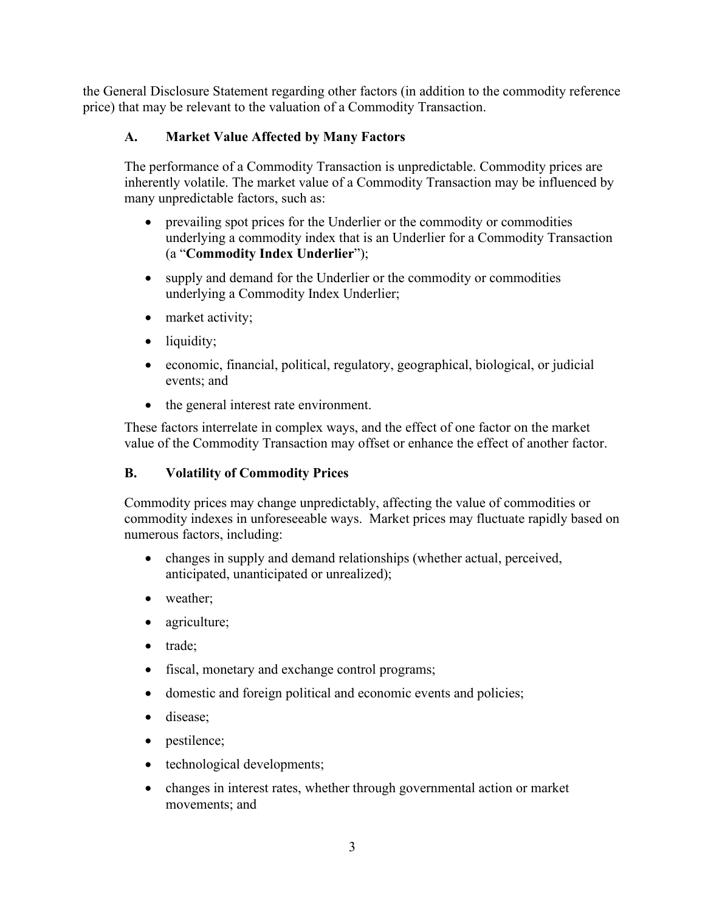the General Disclosure Statement regarding other factors (in addition to the commodity reference price) that may be relevant to the valuation of a Commodity Transaction.

# **A. Market Value Affected by Many Factors**

The performance of a Commodity Transaction is unpredictable. Commodity prices are inherently volatile. The market value of a Commodity Transaction may be influenced by many unpredictable factors, such as:

- prevailing spot prices for the Underlier or the commodity or commodities underlying a commodity index that is an Underlier for a Commodity Transaction (a "**Commodity Index Underlier**");
- supply and demand for the Underlier or the commodity or commodities underlying a Commodity Index Underlier;
- market activity;
- liquidity;
- economic, financial, political, regulatory, geographical, biological, or judicial events; and
- the general interest rate environment.

These factors interrelate in complex ways, and the effect of one factor on the market value of the Commodity Transaction may offset or enhance the effect of another factor.

# **B. Volatility of Commodity Prices**

Commodity prices may change unpredictably, affecting the value of commodities or commodity indexes in unforeseeable ways. Market prices may fluctuate rapidly based on numerous factors, including:

- changes in supply and demand relationships (whether actual, perceived, anticipated, unanticipated or unrealized);
- weather;
- agriculture;
- trade;
- fiscal, monetary and exchange control programs;
- domestic and foreign political and economic events and policies;
- disease;
- pestilence;
- technological developments;
- changes in interest rates, whether through governmental action or market movements; and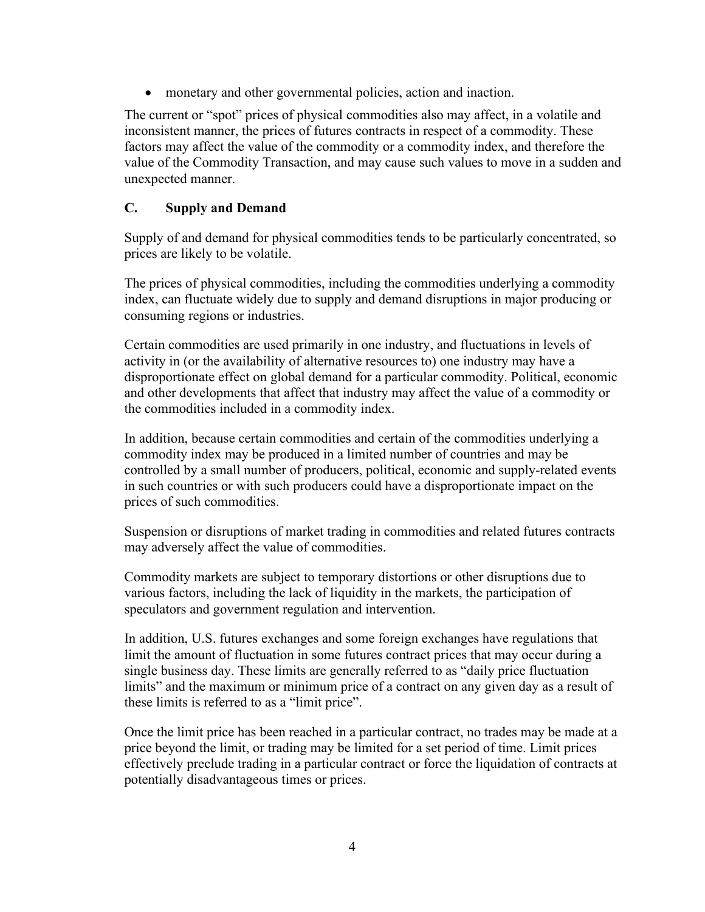monetary and other governmental policies, action and inaction.

The current or "spot" prices of physical commodities also may affect, in a volatile and inconsistent manner, the prices of futures contracts in respect of a commodity. These factors may affect the value of the commodity or a commodity index, and therefore the value of the Commodity Transaction, and may cause such values to move in a sudden and unexpected manner.

# **C. Supply and Demand**

Supply of and demand for physical commodities tends to be particularly concentrated, so prices are likely to be volatile.

The prices of physical commodities, including the commodities underlying a commodity index, can fluctuate widely due to supply and demand disruptions in major producing or consuming regions or industries.

Certain commodities are used primarily in one industry, and fluctuations in levels of activity in (or the availability of alternative resources to) one industry may have a disproportionate effect on global demand for a particular commodity. Political, economic and other developments that affect that industry may affect the value of a commodity or the commodities included in a commodity index.

In addition, because certain commodities and certain of the commodities underlying a commodity index may be produced in a limited number of countries and may be controlled by a small number of producers, political, economic and supply-related events in such countries or with such producers could have a disproportionate impact on the prices of such commodities.

Suspension or disruptions of market trading in commodities and related futures contracts may adversely affect the value of commodities.

Commodity markets are subject to temporary distortions or other disruptions due to various factors, including the lack of liquidity in the markets, the participation of speculators and government regulation and intervention.

In addition, U.S. futures exchanges and some foreign exchanges have regulations that limit the amount of fluctuation in some futures contract prices that may occur during a single business day. These limits are generally referred to as "daily price fluctuation limits" and the maximum or minimum price of a contract on any given day as a result of these limits is referred to as a "limit price".

Once the limit price has been reached in a particular contract, no trades may be made at a price beyond the limit, or trading may be limited for a set period of time. Limit prices effectively preclude trading in a particular contract or force the liquidation of contracts at potentially disadvantageous times or prices.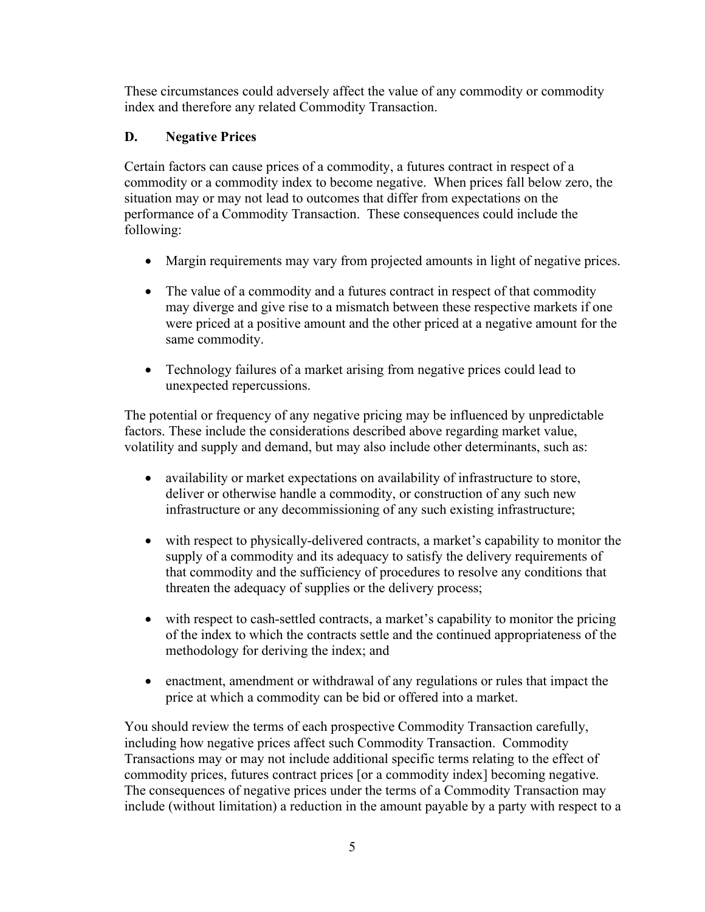These circumstances could adversely affect the value of any commodity or commodity index and therefore any related Commodity Transaction.

# **D. Negative Prices**

Certain factors can cause prices of a commodity, a futures contract in respect of a commodity or a commodity index to become negative. When prices fall below zero, the situation may or may not lead to outcomes that differ from expectations on the performance of a Commodity Transaction. These consequences could include the following:

- Margin requirements may vary from projected amounts in light of negative prices.
- The value of a commodity and a futures contract in respect of that commodity may diverge and give rise to a mismatch between these respective markets if one were priced at a positive amount and the other priced at a negative amount for the same commodity.
- Technology failures of a market arising from negative prices could lead to unexpected repercussions.

The potential or frequency of any negative pricing may be influenced by unpredictable factors. These include the considerations described above regarding market value, volatility and supply and demand, but may also include other determinants, such as:

- availability or market expectations on availability of infrastructure to store, deliver or otherwise handle a commodity, or construction of any such new infrastructure or any decommissioning of any such existing infrastructure;
- with respect to physically-delivered contracts, a market's capability to monitor the supply of a commodity and its adequacy to satisfy the delivery requirements of that commodity and the sufficiency of procedures to resolve any conditions that threaten the adequacy of supplies or the delivery process;
- with respect to cash-settled contracts, a market's capability to monitor the pricing of the index to which the contracts settle and the continued appropriateness of the methodology for deriving the index; and
- enactment, amendment or withdrawal of any regulations or rules that impact the price at which a commodity can be bid or offered into a market.

You should review the terms of each prospective Commodity Transaction carefully, including how negative prices affect such Commodity Transaction. Commodity Transactions may or may not include additional specific terms relating to the effect of commodity prices, futures contract prices [or a commodity index] becoming negative. The consequences of negative prices under the terms of a Commodity Transaction may include (without limitation) a reduction in the amount payable by a party with respect to a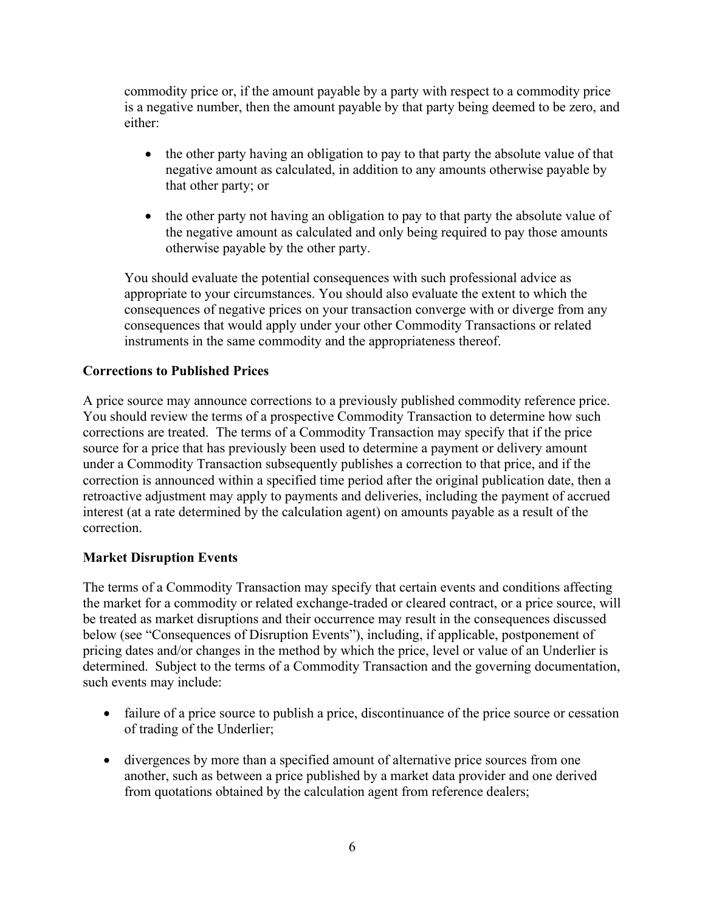commodity price or, if the amount payable by a party with respect to a commodity price is a negative number, then the amount payable by that party being deemed to be zero, and either:

- the other party having an obligation to pay to that party the absolute value of that negative amount as calculated, in addition to any amounts otherwise payable by that other party; or
- the other party not having an obligation to pay to that party the absolute value of the negative amount as calculated and only being required to pay those amounts otherwise payable by the other party.

You should evaluate the potential consequences with such professional advice as appropriate to your circumstances. You should also evaluate the extent to which the consequences of negative prices on your transaction converge with or diverge from any consequences that would apply under your other Commodity Transactions or related instruments in the same commodity and the appropriateness thereof.

# **Corrections to Published Prices**

A price source may announce corrections to a previously published commodity reference price. You should review the terms of a prospective Commodity Transaction to determine how such corrections are treated. The terms of a Commodity Transaction may specify that if the price source for a price that has previously been used to determine a payment or delivery amount under a Commodity Transaction subsequently publishes a correction to that price, and if the correction is announced within a specified time period after the original publication date, then a retroactive adjustment may apply to payments and deliveries, including the payment of accrued interest (at a rate determined by the calculation agent) on amounts payable as a result of the correction.

## **Market Disruption Events**

The terms of a Commodity Transaction may specify that certain events and conditions affecting the market for a commodity or related exchange-traded or cleared contract, or a price source, will be treated as market disruptions and their occurrence may result in the consequences discussed below (see "Consequences of Disruption Events"), including, if applicable, postponement of pricing dates and/or changes in the method by which the price, level or value of an Underlier is determined. Subject to the terms of a Commodity Transaction and the governing documentation, such events may include:

- failure of a price source to publish a price, discontinuance of the price source or cessation of trading of the Underlier;
- divergences by more than a specified amount of alternative price sources from one another, such as between a price published by a market data provider and one derived from quotations obtained by the calculation agent from reference dealers;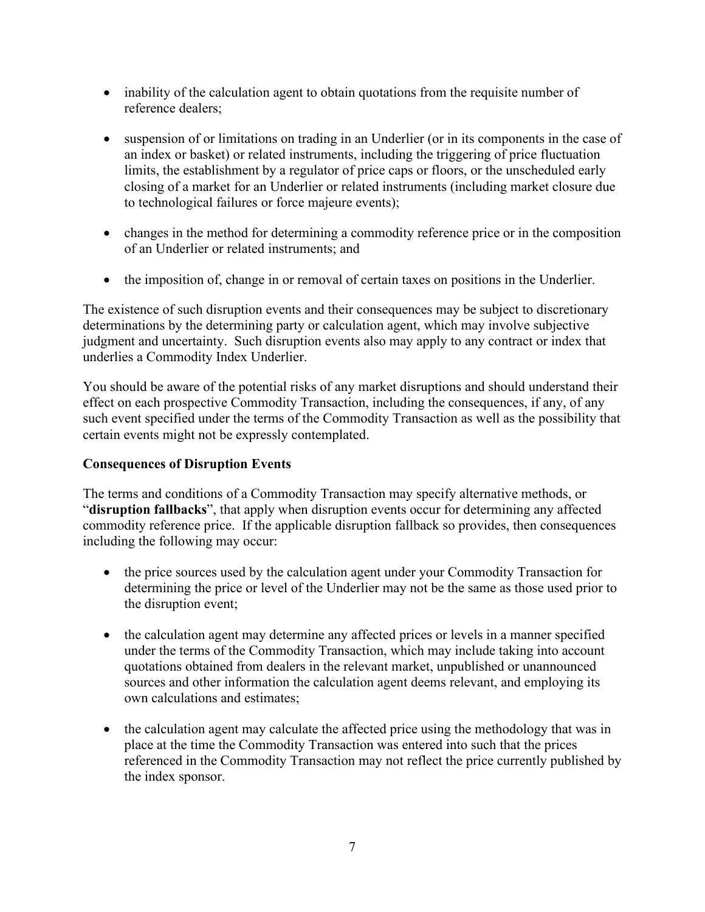- inability of the calculation agent to obtain quotations from the requisite number of reference dealers;
- suspension of or limitations on trading in an Underlier (or in its components in the case of an index or basket) or related instruments, including the triggering of price fluctuation limits, the establishment by a regulator of price caps or floors, or the unscheduled early closing of a market for an Underlier or related instruments (including market closure due to technological failures or force majeure events);
- changes in the method for determining a commodity reference price or in the composition of an Underlier or related instruments; and
- the imposition of, change in or removal of certain taxes on positions in the Underlier.

The existence of such disruption events and their consequences may be subject to discretionary determinations by the determining party or calculation agent, which may involve subjective judgment and uncertainty. Such disruption events also may apply to any contract or index that underlies a Commodity Index Underlier.

You should be aware of the potential risks of any market disruptions and should understand their effect on each prospective Commodity Transaction, including the consequences, if any, of any such event specified under the terms of the Commodity Transaction as well as the possibility that certain events might not be expressly contemplated.

# **Consequences of Disruption Events**

The terms and conditions of a Commodity Transaction may specify alternative methods, or "**disruption fallbacks**", that apply when disruption events occur for determining any affected commodity reference price. If the applicable disruption fallback so provides, then consequences including the following may occur:

- the price sources used by the calculation agent under your Commodity Transaction for determining the price or level of the Underlier may not be the same as those used prior to the disruption event;
- the calculation agent may determine any affected prices or levels in a manner specified under the terms of the Commodity Transaction, which may include taking into account quotations obtained from dealers in the relevant market, unpublished or unannounced sources and other information the calculation agent deems relevant, and employing its own calculations and estimates;
- the calculation agent may calculate the affected price using the methodology that was in place at the time the Commodity Transaction was entered into such that the prices referenced in the Commodity Transaction may not reflect the price currently published by the index sponsor.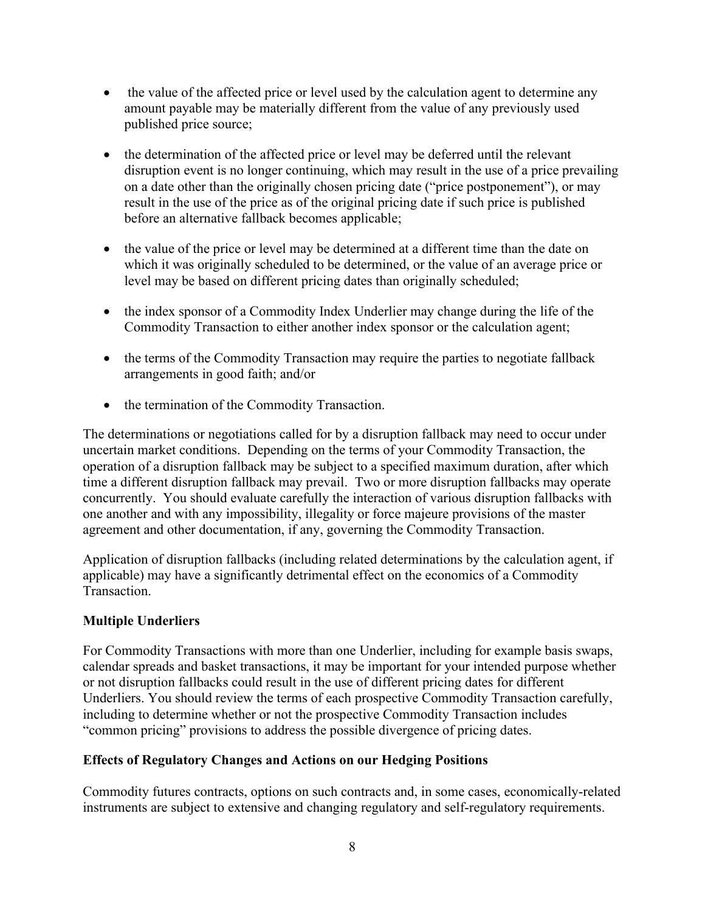- the value of the affected price or level used by the calculation agent to determine any amount payable may be materially different from the value of any previously used published price source;
- the determination of the affected price or level may be deferred until the relevant disruption event is no longer continuing, which may result in the use of a price prevailing on a date other than the originally chosen pricing date ("price postponement"), or may result in the use of the price as of the original pricing date if such price is published before an alternative fallback becomes applicable;
- the value of the price or level may be determined at a different time than the date on which it was originally scheduled to be determined, or the value of an average price or level may be based on different pricing dates than originally scheduled;
- the index sponsor of a Commodity Index Underlier may change during the life of the Commodity Transaction to either another index sponsor or the calculation agent;
- the terms of the Commodity Transaction may require the parties to negotiate fallback arrangements in good faith; and/or
- the termination of the Commodity Transaction.

The determinations or negotiations called for by a disruption fallback may need to occur under uncertain market conditions. Depending on the terms of your Commodity Transaction, the operation of a disruption fallback may be subject to a specified maximum duration, after which time a different disruption fallback may prevail. Two or more disruption fallbacks may operate concurrently. You should evaluate carefully the interaction of various disruption fallbacks with one another and with any impossibility, illegality or force majeure provisions of the master agreement and other documentation, if any, governing the Commodity Transaction.

Application of disruption fallbacks (including related determinations by the calculation agent, if applicable) may have a significantly detrimental effect on the economics of a Commodity Transaction.

# **Multiple Underliers**

For Commodity Transactions with more than one Underlier, including for example basis swaps, calendar spreads and basket transactions, it may be important for your intended purpose whether or not disruption fallbacks could result in the use of different pricing dates for different Underliers. You should review the terms of each prospective Commodity Transaction carefully, including to determine whether or not the prospective Commodity Transaction includes "common pricing" provisions to address the possible divergence of pricing dates.

# **Effects of Regulatory Changes and Actions on our Hedging Positions**

Commodity futures contracts, options on such contracts and, in some cases, economically-related instruments are subject to extensive and changing regulatory and self-regulatory requirements.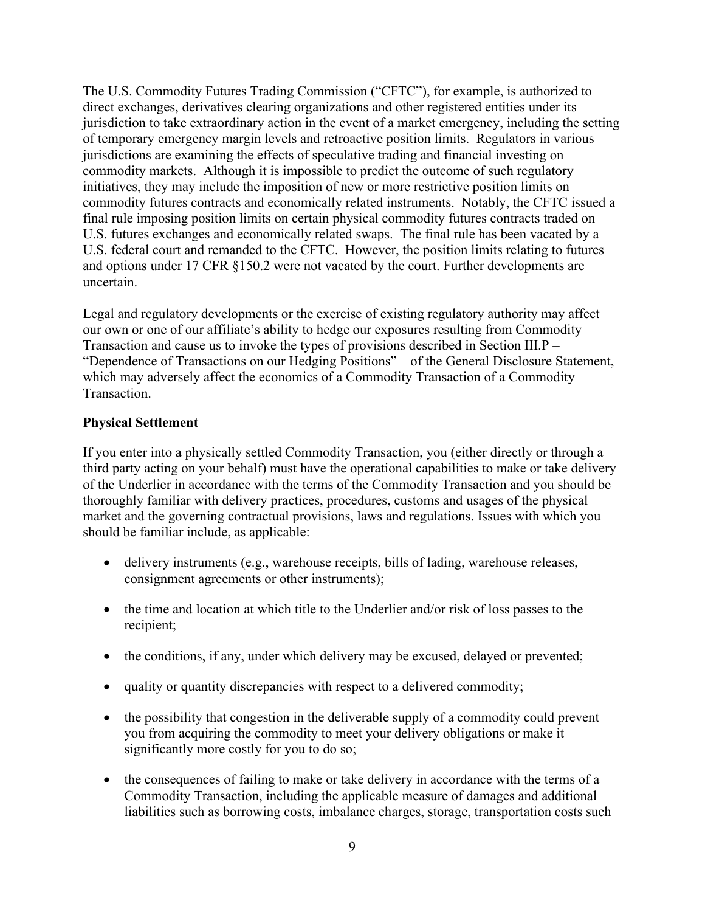The U.S. Commodity Futures Trading Commission ("CFTC"), for example, is authorized to direct exchanges, derivatives clearing organizations and other registered entities under its jurisdiction to take extraordinary action in the event of a market emergency, including the setting of temporary emergency margin levels and retroactive position limits. Regulators in various jurisdictions are examining the effects of speculative trading and financial investing on commodity markets. Although it is impossible to predict the outcome of such regulatory initiatives, they may include the imposition of new or more restrictive position limits on commodity futures contracts and economically related instruments. Notably, the CFTC issued a final rule imposing position limits on certain physical commodity futures contracts traded on U.S. futures exchanges and economically related swaps. The final rule has been vacated by a U.S. federal court and remanded to the CFTC. However, the position limits relating to futures and options under 17 CFR §150.2 were not vacated by the court. Further developments are uncertain.

Legal and regulatory developments or the exercise of existing regulatory authority may affect our own or one of our affiliate's ability to hedge our exposures resulting from Commodity Transaction and cause us to invoke the types of provisions described in Section III.P – "Dependence of Transactions on our Hedging Positions" – of the General Disclosure Statement, which may adversely affect the economics of a Commodity Transaction of a Commodity Transaction.

# **Physical Settlement**

If you enter into a physically settled Commodity Transaction, you (either directly or through a third party acting on your behalf) must have the operational capabilities to make or take delivery of the Underlier in accordance with the terms of the Commodity Transaction and you should be thoroughly familiar with delivery practices, procedures, customs and usages of the physical market and the governing contractual provisions, laws and regulations. Issues with which you should be familiar include, as applicable:

- delivery instruments (e.g., warehouse receipts, bills of lading, warehouse releases, consignment agreements or other instruments);
- the time and location at which title to the Underlier and/or risk of loss passes to the recipient;
- the conditions, if any, under which delivery may be excused, delayed or prevented;
- quality or quantity discrepancies with respect to a delivered commodity;
- the possibility that congestion in the deliverable supply of a commodity could prevent you from acquiring the commodity to meet your delivery obligations or make it significantly more costly for you to do so;
- the consequences of failing to make or take delivery in accordance with the terms of a Commodity Transaction, including the applicable measure of damages and additional liabilities such as borrowing costs, imbalance charges, storage, transportation costs such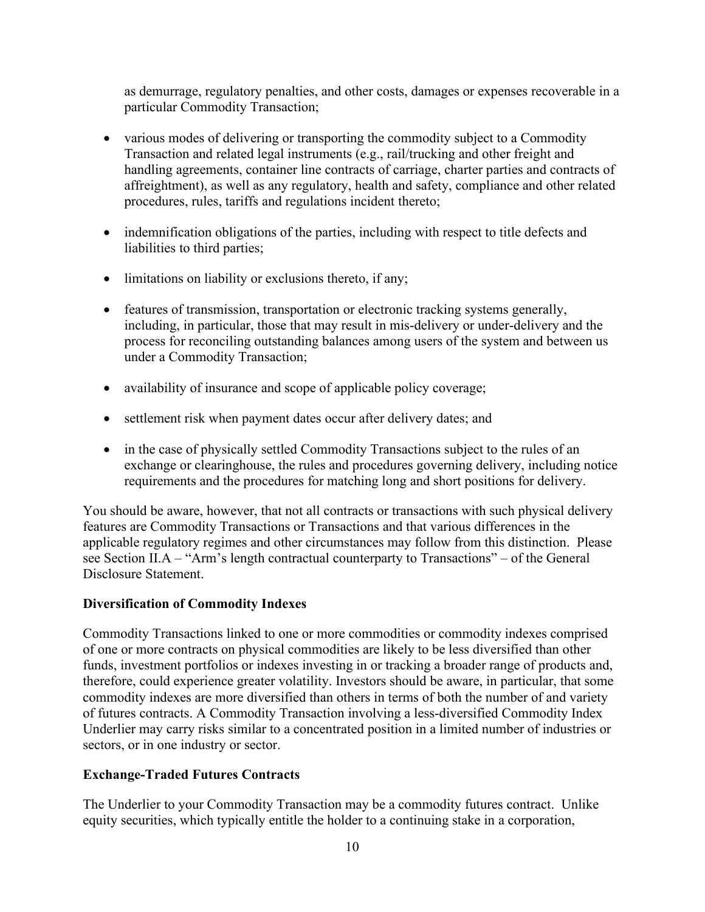as demurrage, regulatory penalties, and other costs, damages or expenses recoverable in a particular Commodity Transaction;

- various modes of delivering or transporting the commodity subject to a Commodity Transaction and related legal instruments (e.g., rail/trucking and other freight and handling agreements, container line contracts of carriage, charter parties and contracts of affreightment), as well as any regulatory, health and safety, compliance and other related procedures, rules, tariffs and regulations incident thereto;
- indemnification obligations of the parties, including with respect to title defects and liabilities to third parties;
- limitations on liability or exclusions thereto, if any;
- features of transmission, transportation or electronic tracking systems generally, including, in particular, those that may result in mis-delivery or under-delivery and the process for reconciling outstanding balances among users of the system and between us under a Commodity Transaction;
- availability of insurance and scope of applicable policy coverage;
- settlement risk when payment dates occur after delivery dates; and
- in the case of physically settled Commodity Transactions subject to the rules of an exchange or clearinghouse, the rules and procedures governing delivery, including notice requirements and the procedures for matching long and short positions for delivery.

You should be aware, however, that not all contracts or transactions with such physical delivery features are Commodity Transactions or Transactions and that various differences in the applicable regulatory regimes and other circumstances may follow from this distinction. Please see Section II.A – "Arm's length contractual counterparty to Transactions" – of the General Disclosure Statement.

## **Diversification of Commodity Indexes**

Commodity Transactions linked to one or more commodities or commodity indexes comprised of one or more contracts on physical commodities are likely to be less diversified than other funds, investment portfolios or indexes investing in or tracking a broader range of products and, therefore, could experience greater volatility. Investors should be aware, in particular, that some commodity indexes are more diversified than others in terms of both the number of and variety of futures contracts. A Commodity Transaction involving a less-diversified Commodity Index Underlier may carry risks similar to a concentrated position in a limited number of industries or sectors, or in one industry or sector.

# **Exchange-Traded Futures Contracts**

The Underlier to your Commodity Transaction may be a commodity futures contract. Unlike equity securities, which typically entitle the holder to a continuing stake in a corporation,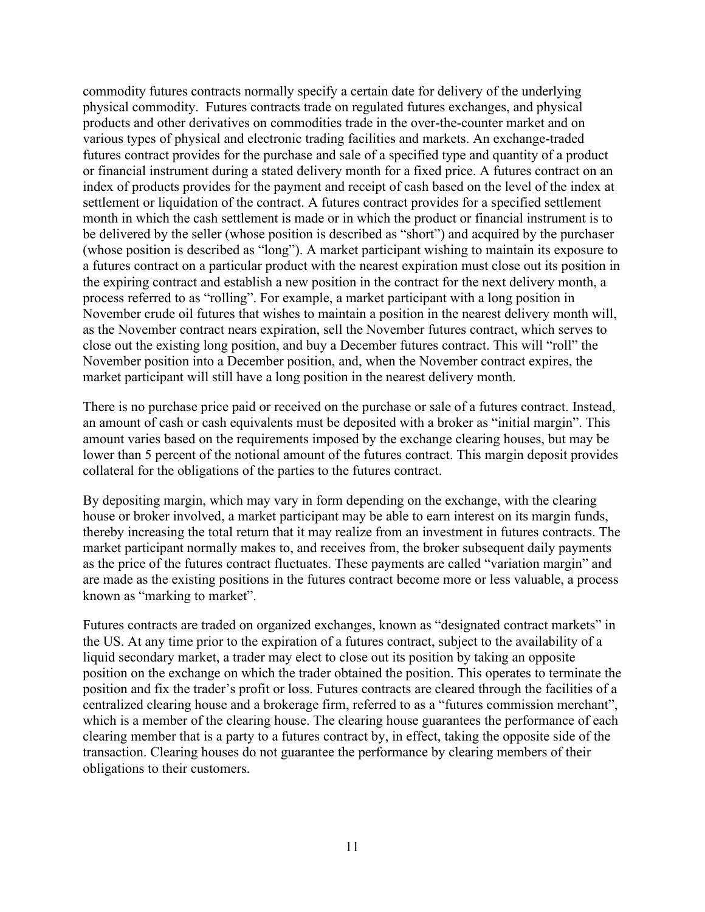commodity futures contracts normally specify a certain date for delivery of the underlying physical commodity. Futures contracts trade on regulated futures exchanges, and physical products and other derivatives on commodities trade in the over-the-counter market and on various types of physical and electronic trading facilities and markets. An exchange-traded futures contract provides for the purchase and sale of a specified type and quantity of a product or financial instrument during a stated delivery month for a fixed price. A futures contract on an index of products provides for the payment and receipt of cash based on the level of the index at settlement or liquidation of the contract. A futures contract provides for a specified settlement month in which the cash settlement is made or in which the product or financial instrument is to be delivered by the seller (whose position is described as "short") and acquired by the purchaser (whose position is described as "long"). A market participant wishing to maintain its exposure to a futures contract on a particular product with the nearest expiration must close out its position in the expiring contract and establish a new position in the contract for the next delivery month, a process referred to as "rolling". For example, a market participant with a long position in November crude oil futures that wishes to maintain a position in the nearest delivery month will, as the November contract nears expiration, sell the November futures contract, which serves to close out the existing long position, and buy a December futures contract. This will "roll" the November position into a December position, and, when the November contract expires, the market participant will still have a long position in the nearest delivery month.

There is no purchase price paid or received on the purchase or sale of a futures contract. Instead, an amount of cash or cash equivalents must be deposited with a broker as "initial margin". This amount varies based on the requirements imposed by the exchange clearing houses, but may be lower than 5 percent of the notional amount of the futures contract. This margin deposit provides collateral for the obligations of the parties to the futures contract.

By depositing margin, which may vary in form depending on the exchange, with the clearing house or broker involved, a market participant may be able to earn interest on its margin funds, thereby increasing the total return that it may realize from an investment in futures contracts. The market participant normally makes to, and receives from, the broker subsequent daily payments as the price of the futures contract fluctuates. These payments are called "variation margin" and are made as the existing positions in the futures contract become more or less valuable, a process known as "marking to market".

Futures contracts are traded on organized exchanges, known as "designated contract markets" in the US. At any time prior to the expiration of a futures contract, subject to the availability of a liquid secondary market, a trader may elect to close out its position by taking an opposite position on the exchange on which the trader obtained the position. This operates to terminate the position and fix the trader's profit or loss. Futures contracts are cleared through the facilities of a centralized clearing house and a brokerage firm, referred to as a "futures commission merchant", which is a member of the clearing house. The clearing house guarantees the performance of each clearing member that is a party to a futures contract by, in effect, taking the opposite side of the transaction. Clearing houses do not guarantee the performance by clearing members of their obligations to their customers.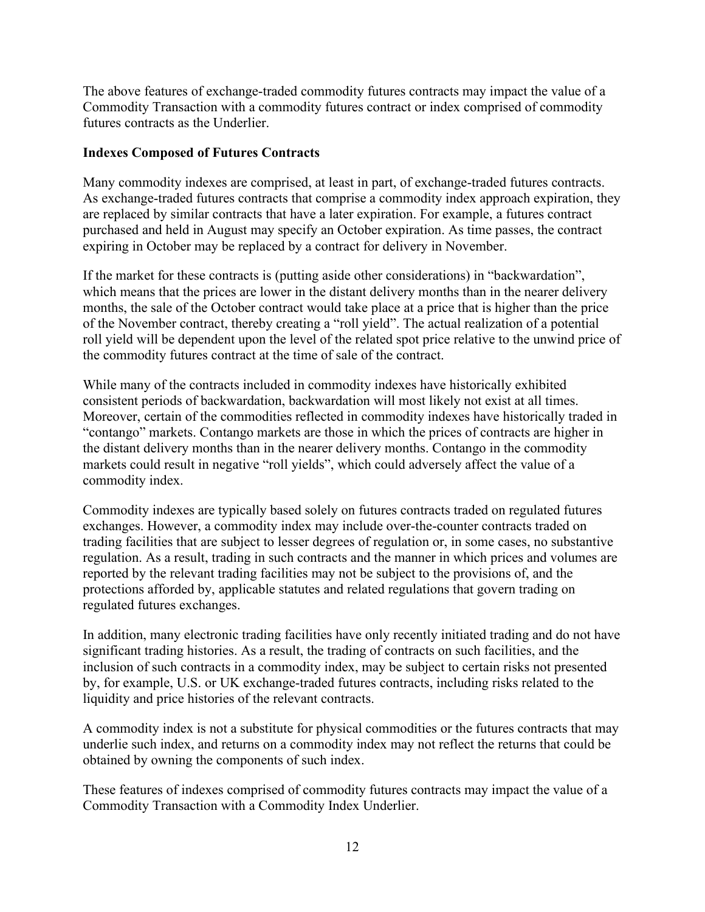The above features of exchange-traded commodity futures contracts may impact the value of a Commodity Transaction with a commodity futures contract or index comprised of commodity futures contracts as the Underlier.

## **Indexes Composed of Futures Contracts**

Many commodity indexes are comprised, at least in part, of exchange-traded futures contracts. As exchange-traded futures contracts that comprise a commodity index approach expiration, they are replaced by similar contracts that have a later expiration. For example, a futures contract purchased and held in August may specify an October expiration. As time passes, the contract expiring in October may be replaced by a contract for delivery in November.

If the market for these contracts is (putting aside other considerations) in "backwardation", which means that the prices are lower in the distant delivery months than in the nearer delivery months, the sale of the October contract would take place at a price that is higher than the price of the November contract, thereby creating a "roll yield". The actual realization of a potential roll yield will be dependent upon the level of the related spot price relative to the unwind price of the commodity futures contract at the time of sale of the contract.

While many of the contracts included in commodity indexes have historically exhibited consistent periods of backwardation, backwardation will most likely not exist at all times. Moreover, certain of the commodities reflected in commodity indexes have historically traded in "contango" markets. Contango markets are those in which the prices of contracts are higher in the distant delivery months than in the nearer delivery months. Contango in the commodity markets could result in negative "roll yields", which could adversely affect the value of a commodity index.

Commodity indexes are typically based solely on futures contracts traded on regulated futures exchanges. However, a commodity index may include over-the-counter contracts traded on trading facilities that are subject to lesser degrees of regulation or, in some cases, no substantive regulation. As a result, trading in such contracts and the manner in which prices and volumes are reported by the relevant trading facilities may not be subject to the provisions of, and the protections afforded by, applicable statutes and related regulations that govern trading on regulated futures exchanges.

In addition, many electronic trading facilities have only recently initiated trading and do not have significant trading histories. As a result, the trading of contracts on such facilities, and the inclusion of such contracts in a commodity index, may be subject to certain risks not presented by, for example, U.S. or UK exchange-traded futures contracts, including risks related to the liquidity and price histories of the relevant contracts.

A commodity index is not a substitute for physical commodities or the futures contracts that may underlie such index, and returns on a commodity index may not reflect the returns that could be obtained by owning the components of such index.

These features of indexes comprised of commodity futures contracts may impact the value of a Commodity Transaction with a Commodity Index Underlier.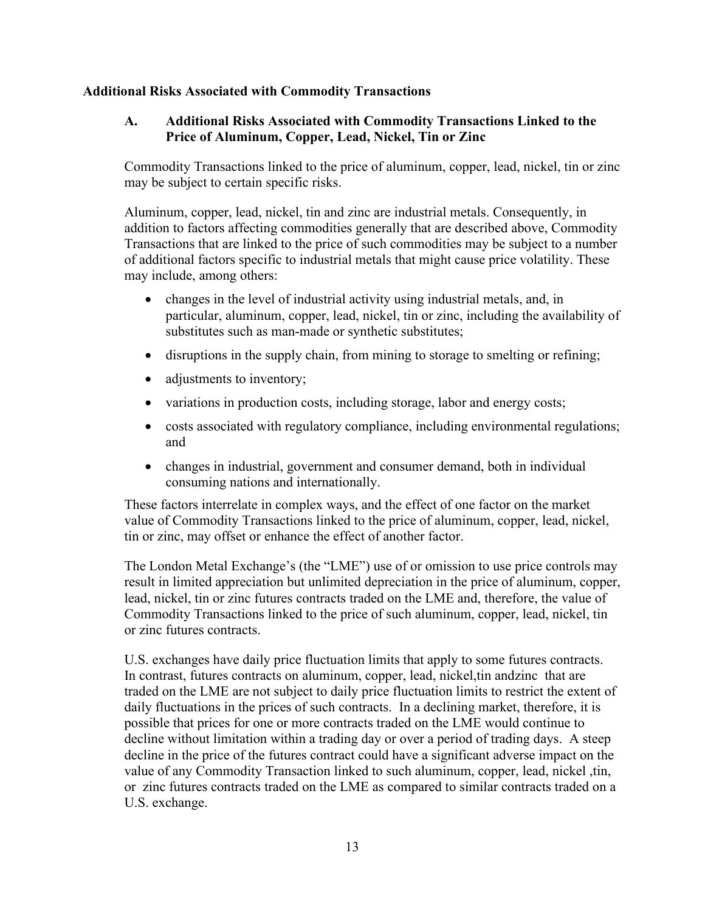## **Additional Risks Associated with Commodity Transactions**

## **A. Additional Risks Associated with Commodity Transactions Linked to the Price of Aluminum, Copper, Lead, Nickel, Tin or Zinc**

Commodity Transactions linked to the price of aluminum, copper, lead, nickel, tin or zinc may be subject to certain specific risks.

Aluminum, copper, lead, nickel, tin and zinc are industrial metals. Consequently, in addition to factors affecting commodities generally that are described above, Commodity Transactions that are linked to the price of such commodities may be subject to a number of additional factors specific to industrial metals that might cause price volatility. These may include, among others:

- changes in the level of industrial activity using industrial metals, and, in particular, aluminum, copper, lead, nickel, tin or zinc, including the availability of substitutes such as man-made or synthetic substitutes;
- disruptions in the supply chain, from mining to storage to smelting or refining;
- adjustments to inventory;
- variations in production costs, including storage, labor and energy costs;
- costs associated with regulatory compliance, including environmental regulations; and
- changes in industrial, government and consumer demand, both in individual consuming nations and internationally.

These factors interrelate in complex ways, and the effect of one factor on the market value of Commodity Transactions linked to the price of aluminum, copper, lead, nickel, tin or zinc, may offset or enhance the effect of another factor.

The London Metal Exchange's (the "LME") use of or omission to use price controls may result in limited appreciation but unlimited depreciation in the price of aluminum, copper, lead, nickel, tin or zinc futures contracts traded on the LME and, therefore, the value of Commodity Transactions linked to the price of such aluminum, copper, lead, nickel, tin or zinc futures contracts.

U.S. exchanges have daily price fluctuation limits that apply to some futures contracts. In contrast, futures contracts on aluminum, copper, lead, nickel,tin andzinc that are traded on the LME are not subject to daily price fluctuation limits to restrict the extent of daily fluctuations in the prices of such contracts. In a declining market, therefore, it is possible that prices for one or more contracts traded on the LME would continue to decline without limitation within a trading day or over a period of trading days. A steep decline in the price of the futures contract could have a significant adverse impact on the value of any Commodity Transaction linked to such aluminum, copper, lead, nickel ,tin, or zinc futures contracts traded on the LME as compared to similar contracts traded on a U.S. exchange.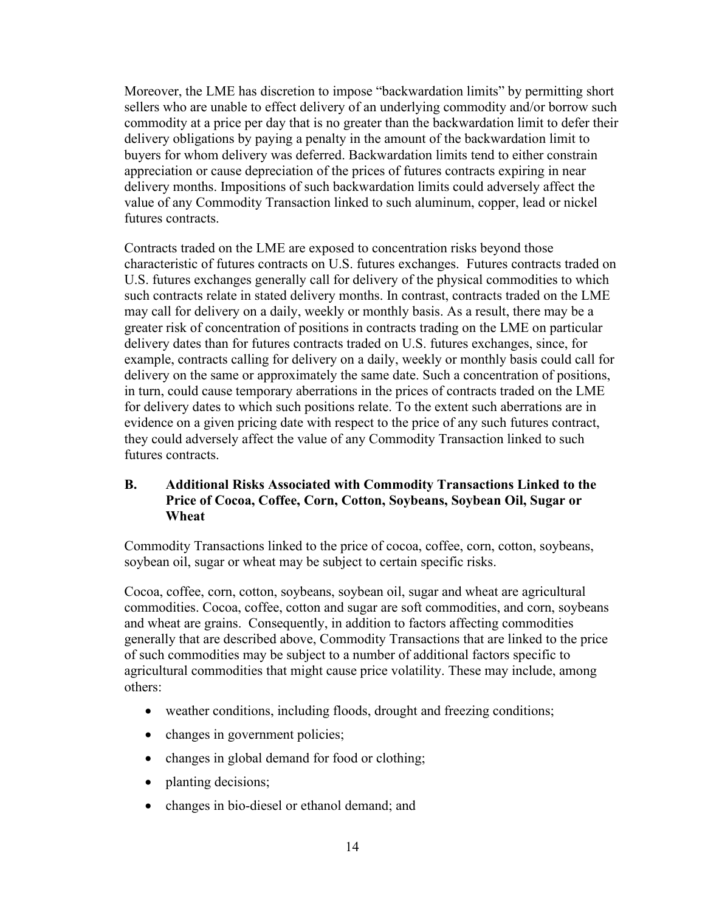Moreover, the LME has discretion to impose "backwardation limits" by permitting short sellers who are unable to effect delivery of an underlying commodity and/or borrow such commodity at a price per day that is no greater than the backwardation limit to defer their delivery obligations by paying a penalty in the amount of the backwardation limit to buyers for whom delivery was deferred. Backwardation limits tend to either constrain appreciation or cause depreciation of the prices of futures contracts expiring in near delivery months. Impositions of such backwardation limits could adversely affect the value of any Commodity Transaction linked to such aluminum, copper, lead or nickel futures contracts.

Contracts traded on the LME are exposed to concentration risks beyond those characteristic of futures contracts on U.S. futures exchanges. Futures contracts traded on U.S. futures exchanges generally call for delivery of the physical commodities to which such contracts relate in stated delivery months. In contrast, contracts traded on the LME may call for delivery on a daily, weekly or monthly basis. As a result, there may be a greater risk of concentration of positions in contracts trading on the LME on particular delivery dates than for futures contracts traded on U.S. futures exchanges, since, for example, contracts calling for delivery on a daily, weekly or monthly basis could call for delivery on the same or approximately the same date. Such a concentration of positions, in turn, could cause temporary aberrations in the prices of contracts traded on the LME for delivery dates to which such positions relate. To the extent such aberrations are in evidence on a given pricing date with respect to the price of any such futures contract, they could adversely affect the value of any Commodity Transaction linked to such futures contracts.

# **B. Additional Risks Associated with Commodity Transactions Linked to the Price of Cocoa, Coffee, Corn, Cotton, Soybeans, Soybean Oil, Sugar or Wheat**

Commodity Transactions linked to the price of cocoa, coffee, corn, cotton, soybeans, soybean oil, sugar or wheat may be subject to certain specific risks.

Cocoa, coffee, corn, cotton, soybeans, soybean oil, sugar and wheat are agricultural commodities. Cocoa, coffee, cotton and sugar are soft commodities, and corn, soybeans and wheat are grains. Consequently, in addition to factors affecting commodities generally that are described above, Commodity Transactions that are linked to the price of such commodities may be subject to a number of additional factors specific to agricultural commodities that might cause price volatility. These may include, among others:

- weather conditions, including floods, drought and freezing conditions;
- changes in government policies;
- changes in global demand for food or clothing;
- planting decisions;
- changes in bio-diesel or ethanol demand; and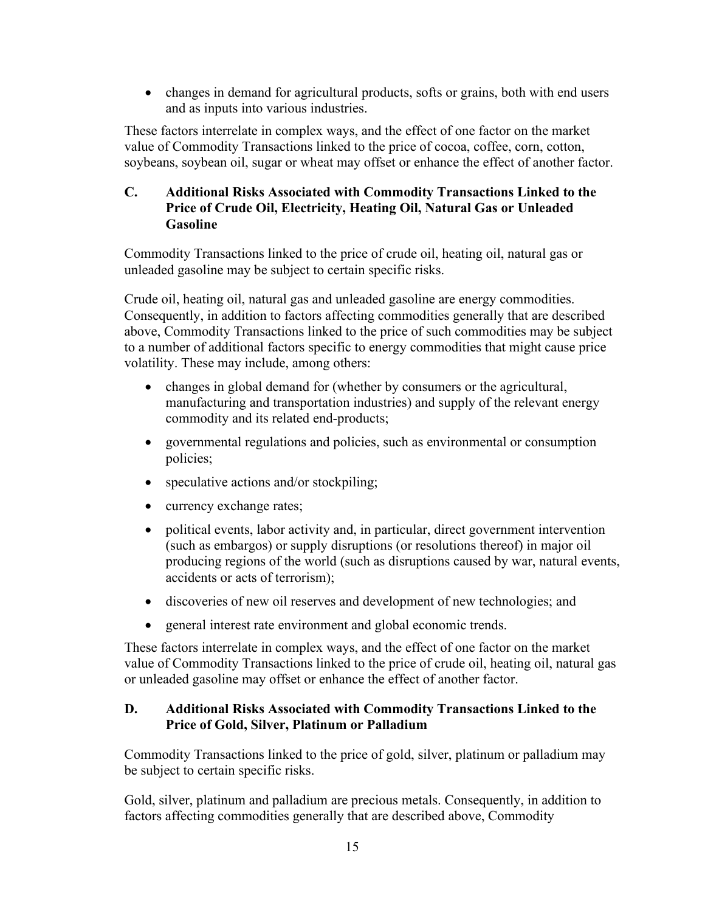• changes in demand for agricultural products, softs or grains, both with end users and as inputs into various industries.

These factors interrelate in complex ways, and the effect of one factor on the market value of Commodity Transactions linked to the price of cocoa, coffee, corn, cotton, soybeans, soybean oil, sugar or wheat may offset or enhance the effect of another factor.

# **C. Additional Risks Associated with Commodity Transactions Linked to the Price of Crude Oil, Electricity, Heating Oil, Natural Gas or Unleaded Gasoline**

Commodity Transactions linked to the price of crude oil, heating oil, natural gas or unleaded gasoline may be subject to certain specific risks.

Crude oil, heating oil, natural gas and unleaded gasoline are energy commodities. Consequently, in addition to factors affecting commodities generally that are described above, Commodity Transactions linked to the price of such commodities may be subject to a number of additional factors specific to energy commodities that might cause price volatility. These may include, among others:

- changes in global demand for (whether by consumers or the agricultural, manufacturing and transportation industries) and supply of the relevant energy commodity and its related end-products;
- governmental regulations and policies, such as environmental or consumption policies;
- speculative actions and/or stockpiling;
- currency exchange rates;
- political events, labor activity and, in particular, direct government intervention (such as embargos) or supply disruptions (or resolutions thereof) in major oil producing regions of the world (such as disruptions caused by war, natural events, accidents or acts of terrorism);
- discoveries of new oil reserves and development of new technologies; and
- general interest rate environment and global economic trends.

These factors interrelate in complex ways, and the effect of one factor on the market value of Commodity Transactions linked to the price of crude oil, heating oil, natural gas or unleaded gasoline may offset or enhance the effect of another factor.

# **D. Additional Risks Associated with Commodity Transactions Linked to the Price of Gold, Silver, Platinum or Palladium**

Commodity Transactions linked to the price of gold, silver, platinum or palladium may be subject to certain specific risks.

Gold, silver, platinum and palladium are precious metals. Consequently, in addition to factors affecting commodities generally that are described above, Commodity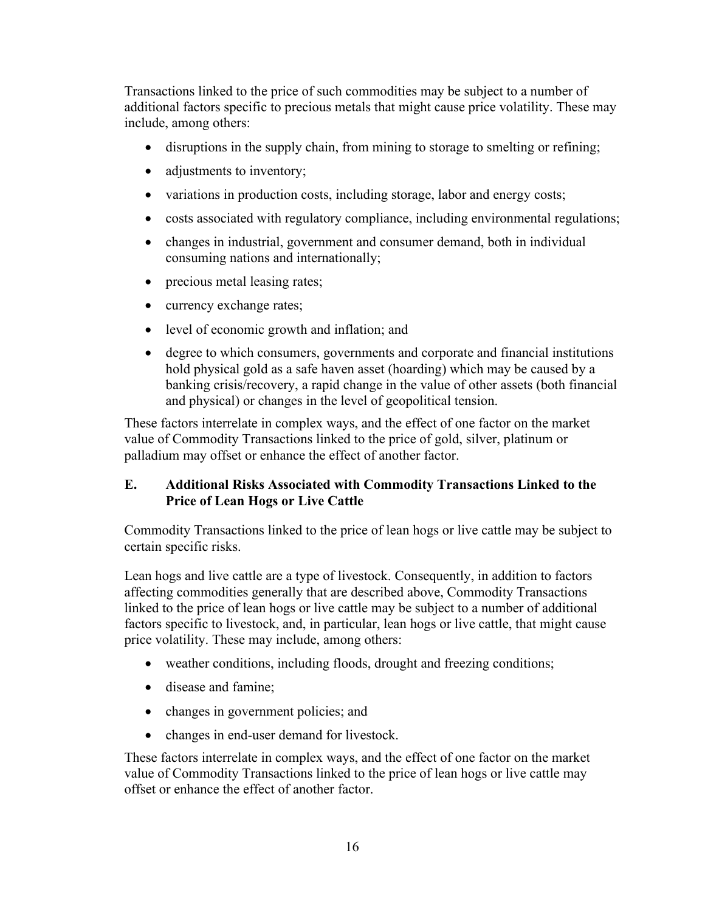Transactions linked to the price of such commodities may be subject to a number of additional factors specific to precious metals that might cause price volatility. These may include, among others:

- disruptions in the supply chain, from mining to storage to smelting or refining;
- adjustments to inventory;
- variations in production costs, including storage, labor and energy costs;
- costs associated with regulatory compliance, including environmental regulations;
- changes in industrial, government and consumer demand, both in individual consuming nations and internationally;
- precious metal leasing rates;
- currency exchange rates;
- level of economic growth and inflation; and
- degree to which consumers, governments and corporate and financial institutions hold physical gold as a safe haven asset (hoarding) which may be caused by a banking crisis/recovery, a rapid change in the value of other assets (both financial and physical) or changes in the level of geopolitical tension.

These factors interrelate in complex ways, and the effect of one factor on the market value of Commodity Transactions linked to the price of gold, silver, platinum or palladium may offset or enhance the effect of another factor.

# **E. Additional Risks Associated with Commodity Transactions Linked to the Price of Lean Hogs or Live Cattle**

Commodity Transactions linked to the price of lean hogs or live cattle may be subject to certain specific risks.

Lean hogs and live cattle are a type of livestock. Consequently, in addition to factors affecting commodities generally that are described above, Commodity Transactions linked to the price of lean hogs or live cattle may be subject to a number of additional factors specific to livestock, and, in particular, lean hogs or live cattle, that might cause price volatility. These may include, among others:

- weather conditions, including floods, drought and freezing conditions;
- disease and famine;
- changes in government policies; and
- changes in end-user demand for livestock.

These factors interrelate in complex ways, and the effect of one factor on the market value of Commodity Transactions linked to the price of lean hogs or live cattle may offset or enhance the effect of another factor.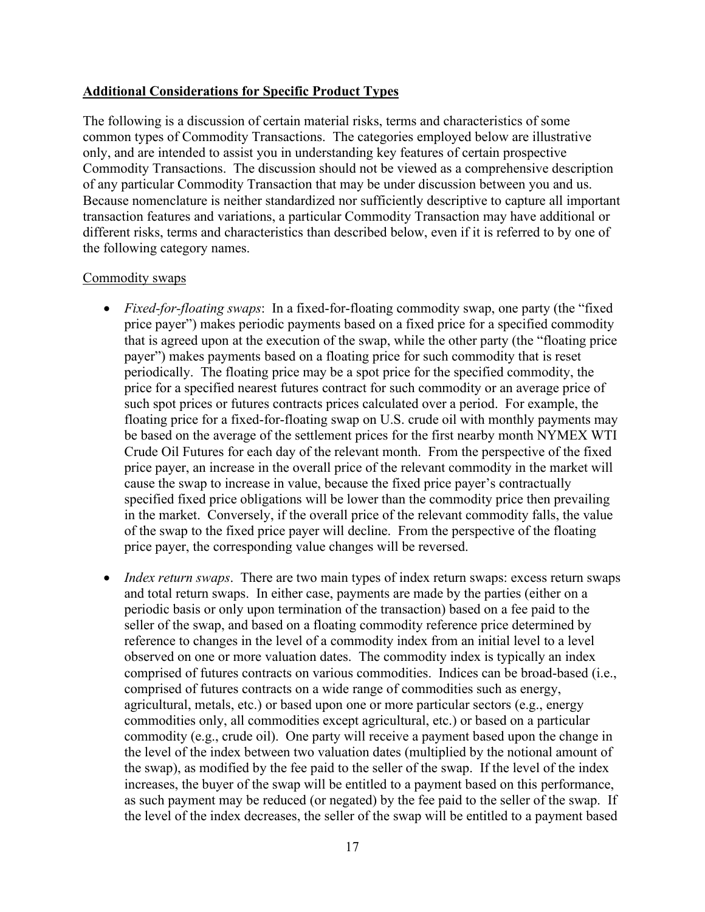#### **Additional Considerations for Specific Product Types**

The following is a discussion of certain material risks, terms and characteristics of some common types of Commodity Transactions. The categories employed below are illustrative only, and are intended to assist you in understanding key features of certain prospective Commodity Transactions. The discussion should not be viewed as a comprehensive description of any particular Commodity Transaction that may be under discussion between you and us. Because nomenclature is neither standardized nor sufficiently descriptive to capture all important transaction features and variations, a particular Commodity Transaction may have additional or different risks, terms and characteristics than described below, even if it is referred to by one of the following category names.

#### Commodity swaps

- *Fixed-for-floating swaps*: In a fixed-for-floating commodity swap, one party (the "fixed price payer") makes periodic payments based on a fixed price for a specified commodity that is agreed upon at the execution of the swap, while the other party (the "floating price payer") makes payments based on a floating price for such commodity that is reset periodically. The floating price may be a spot price for the specified commodity, the price for a specified nearest futures contract for such commodity or an average price of such spot prices or futures contracts prices calculated over a period. For example, the floating price for a fixed-for-floating swap on U.S. crude oil with monthly payments may be based on the average of the settlement prices for the first nearby month NYMEX WTI Crude Oil Futures for each day of the relevant month. From the perspective of the fixed price payer, an increase in the overall price of the relevant commodity in the market will cause the swap to increase in value, because the fixed price payer's contractually specified fixed price obligations will be lower than the commodity price then prevailing in the market. Conversely, if the overall price of the relevant commodity falls, the value of the swap to the fixed price payer will decline. From the perspective of the floating price payer, the corresponding value changes will be reversed.
- *Index return swaps*. There are two main types of index return swaps: excess return swaps and total return swaps. In either case, payments are made by the parties (either on a periodic basis or only upon termination of the transaction) based on a fee paid to the seller of the swap, and based on a floating commodity reference price determined by reference to changes in the level of a commodity index from an initial level to a level observed on one or more valuation dates. The commodity index is typically an index comprised of futures contracts on various commodities. Indices can be broad-based (i.e., comprised of futures contracts on a wide range of commodities such as energy, agricultural, metals, etc.) or based upon one or more particular sectors (e.g., energy commodities only, all commodities except agricultural, etc.) or based on a particular commodity (e.g., crude oil). One party will receive a payment based upon the change in the level of the index between two valuation dates (multiplied by the notional amount of the swap), as modified by the fee paid to the seller of the swap. If the level of the index increases, the buyer of the swap will be entitled to a payment based on this performance, as such payment may be reduced (or negated) by the fee paid to the seller of the swap. If the level of the index decreases, the seller of the swap will be entitled to a payment based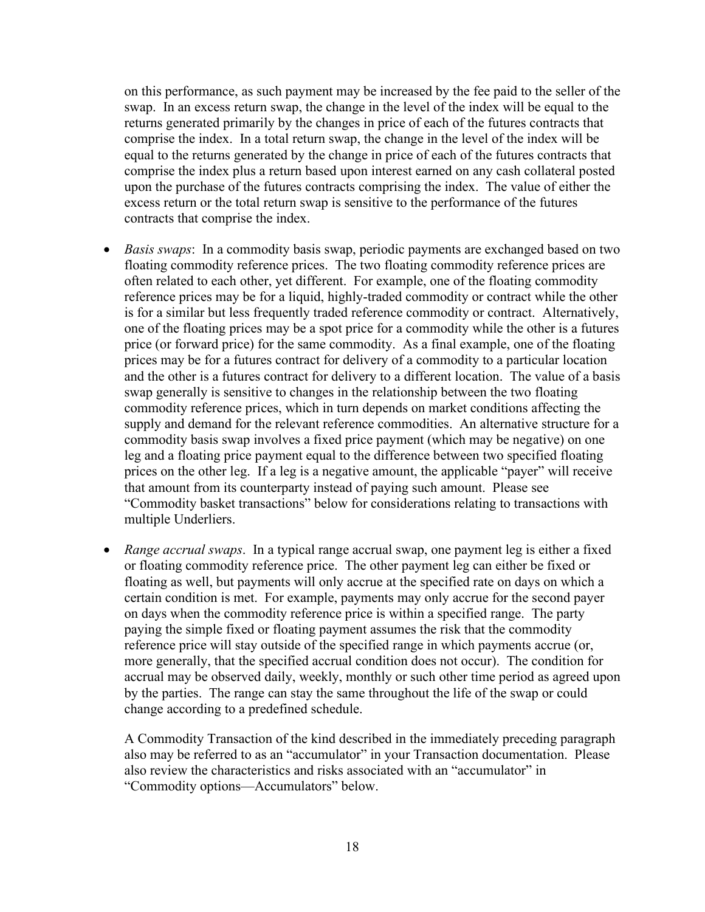on this performance, as such payment may be increased by the fee paid to the seller of the swap. In an excess return swap, the change in the level of the index will be equal to the returns generated primarily by the changes in price of each of the futures contracts that comprise the index. In a total return swap, the change in the level of the index will be equal to the returns generated by the change in price of each of the futures contracts that comprise the index plus a return based upon interest earned on any cash collateral posted upon the purchase of the futures contracts comprising the index. The value of either the excess return or the total return swap is sensitive to the performance of the futures contracts that comprise the index.

- *Basis swaps*: In a commodity basis swap, periodic payments are exchanged based on two floating commodity reference prices. The two floating commodity reference prices are often related to each other, yet different. For example, one of the floating commodity reference prices may be for a liquid, highly-traded commodity or contract while the other is for a similar but less frequently traded reference commodity or contract. Alternatively, one of the floating prices may be a spot price for a commodity while the other is a futures price (or forward price) for the same commodity. As a final example, one of the floating prices may be for a futures contract for delivery of a commodity to a particular location and the other is a futures contract for delivery to a different location. The value of a basis swap generally is sensitive to changes in the relationship between the two floating commodity reference prices, which in turn depends on market conditions affecting the supply and demand for the relevant reference commodities. An alternative structure for a commodity basis swap involves a fixed price payment (which may be negative) on one leg and a floating price payment equal to the difference between two specified floating prices on the other leg. If a leg is a negative amount, the applicable "payer" will receive that amount from its counterparty instead of paying such amount. Please see "Commodity basket transactions" below for considerations relating to transactions with multiple Underliers.
- *Range accrual swaps*. In a typical range accrual swap, one payment leg is either a fixed or floating commodity reference price. The other payment leg can either be fixed or floating as well, but payments will only accrue at the specified rate on days on which a certain condition is met. For example, payments may only accrue for the second payer on days when the commodity reference price is within a specified range. The party paying the simple fixed or floating payment assumes the risk that the commodity reference price will stay outside of the specified range in which payments accrue (or, more generally, that the specified accrual condition does not occur). The condition for accrual may be observed daily, weekly, monthly or such other time period as agreed upon by the parties. The range can stay the same throughout the life of the swap or could change according to a predefined schedule.

A Commodity Transaction of the kind described in the immediately preceding paragraph also may be referred to as an "accumulator" in your Transaction documentation. Please also review the characteristics and risks associated with an "accumulator" in "Commodity options—Accumulators" below.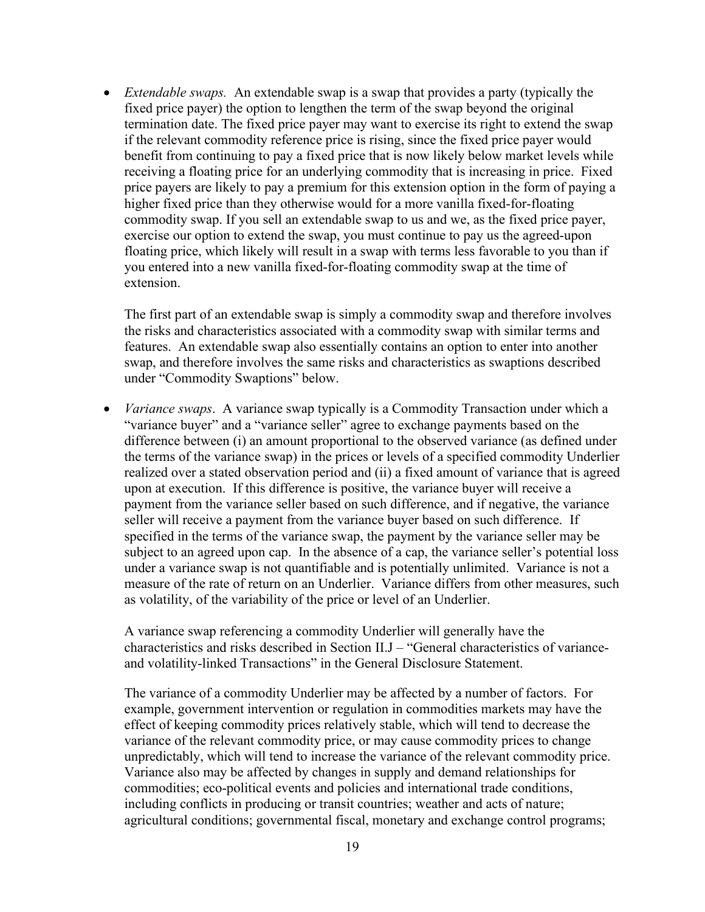• *Extendable swaps.* An extendable swap is a swap that provides a party (typically the fixed price payer) the option to lengthen the term of the swap beyond the original termination date. The fixed price payer may want to exercise its right to extend the swap if the relevant commodity reference price is rising, since the fixed price payer would benefit from continuing to pay a fixed price that is now likely below market levels while receiving a floating price for an underlying commodity that is increasing in price. Fixed price payers are likely to pay a premium for this extension option in the form of paying a higher fixed price than they otherwise would for a more vanilla fixed-for-floating commodity swap. If you sell an extendable swap to us and we, as the fixed price payer, exercise our option to extend the swap, you must continue to pay us the agreed-upon floating price, which likely will result in a swap with terms less favorable to you than if you entered into a new vanilla fixed-for-floating commodity swap at the time of extension.

The first part of an extendable swap is simply a commodity swap and therefore involves the risks and characteristics associated with a commodity swap with similar terms and features. An extendable swap also essentially contains an option to enter into another swap, and therefore involves the same risks and characteristics as swaptions described under "Commodity Swaptions" below.

• *Variance swaps*. A variance swap typically is a Commodity Transaction under which a "variance buyer" and a "variance seller" agree to exchange payments based on the difference between (i) an amount proportional to the observed variance (as defined under the terms of the variance swap) in the prices or levels of a specified commodity Underlier realized over a stated observation period and (ii) a fixed amount of variance that is agreed upon at execution. If this difference is positive, the variance buyer will receive a payment from the variance seller based on such difference, and if negative, the variance seller will receive a payment from the variance buyer based on such difference. If specified in the terms of the variance swap, the payment by the variance seller may be subject to an agreed upon cap. In the absence of a cap, the variance seller's potential loss under a variance swap is not quantifiable and is potentially unlimited. Variance is not a measure of the rate of return on an Underlier. Variance differs from other measures, such as volatility, of the variability of the price or level of an Underlier.

A variance swap referencing a commodity Underlier will generally have the characteristics and risks described in Section II.J – "General characteristics of varianceand volatility-linked Transactions" in the General Disclosure Statement.

The variance of a commodity Underlier may be affected by a number of factors. For example, government intervention or regulation in commodities markets may have the effect of keeping commodity prices relatively stable, which will tend to decrease the variance of the relevant commodity price, or may cause commodity prices to change unpredictably, which will tend to increase the variance of the relevant commodity price. Variance also may be affected by changes in supply and demand relationships for commodities; eco-political events and policies and international trade conditions, including conflicts in producing or transit countries; weather and acts of nature; agricultural conditions; governmental fiscal, monetary and exchange control programs;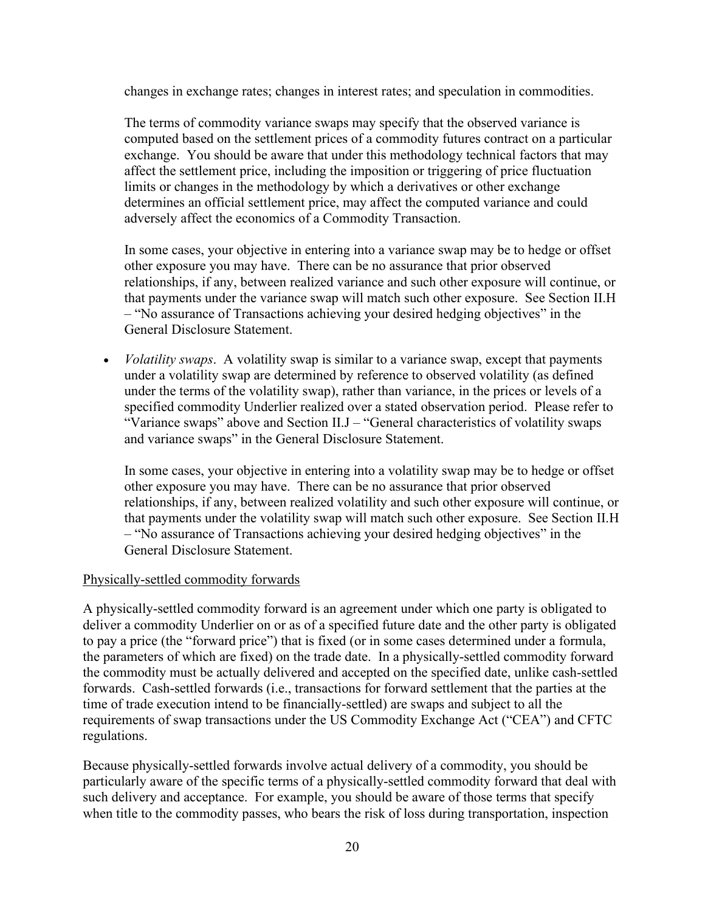changes in exchange rates; changes in interest rates; and speculation in commodities.

The terms of commodity variance swaps may specify that the observed variance is computed based on the settlement prices of a commodity futures contract on a particular exchange. You should be aware that under this methodology technical factors that may affect the settlement price, including the imposition or triggering of price fluctuation limits or changes in the methodology by which a derivatives or other exchange determines an official settlement price, may affect the computed variance and could adversely affect the economics of a Commodity Transaction.

In some cases, your objective in entering into a variance swap may be to hedge or offset other exposure you may have. There can be no assurance that prior observed relationships, if any, between realized variance and such other exposure will continue, or that payments under the variance swap will match such other exposure. See Section II.H – "No assurance of Transactions achieving your desired hedging objectives" in the General Disclosure Statement.

• *Volatility swaps*. A volatility swap is similar to a variance swap, except that payments under a volatility swap are determined by reference to observed volatility (as defined under the terms of the volatility swap), rather than variance, in the prices or levels of a specified commodity Underlier realized over a stated observation period. Please refer to "Variance swaps" above and Section II.J – "General characteristics of volatility swaps and variance swaps" in the General Disclosure Statement.

In some cases, your objective in entering into a volatility swap may be to hedge or offset other exposure you may have. There can be no assurance that prior observed relationships, if any, between realized volatility and such other exposure will continue, or that payments under the volatility swap will match such other exposure. See Section II.H – "No assurance of Transactions achieving your desired hedging objectives" in the General Disclosure Statement.

## Physically-settled commodity forwards

A physically-settled commodity forward is an agreement under which one party is obligated to deliver a commodity Underlier on or as of a specified future date and the other party is obligated to pay a price (the "forward price") that is fixed (or in some cases determined under a formula, the parameters of which are fixed) on the trade date. In a physically-settled commodity forward the commodity must be actually delivered and accepted on the specified date, unlike cash-settled forwards. Cash-settled forwards (i.e., transactions for forward settlement that the parties at the time of trade execution intend to be financially-settled) are swaps and subject to all the requirements of swap transactions under the US Commodity Exchange Act ("CEA") and CFTC regulations.

Because physically-settled forwards involve actual delivery of a commodity, you should be particularly aware of the specific terms of a physically-settled commodity forward that deal with such delivery and acceptance. For example, you should be aware of those terms that specify when title to the commodity passes, who bears the risk of loss during transportation, inspection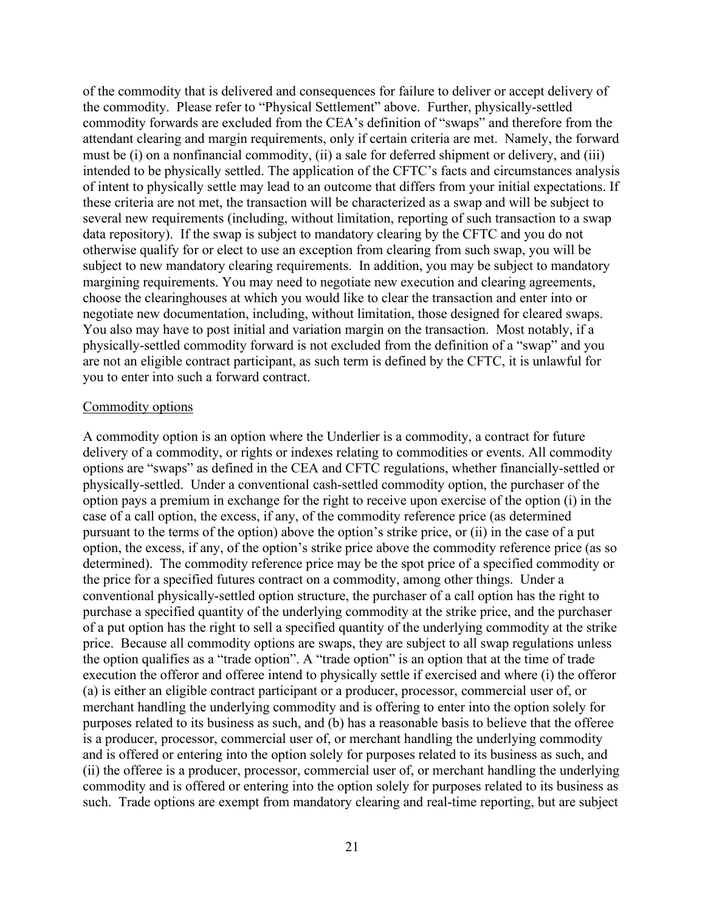of the commodity that is delivered and consequences for failure to deliver or accept delivery of the commodity. Please refer to "Physical Settlement" above. Further, physically-settled commodity forwards are excluded from the CEA's definition of "swaps" and therefore from the attendant clearing and margin requirements, only if certain criteria are met. Namely, the forward must be (i) on a nonfinancial commodity, (ii) a sale for deferred shipment or delivery, and (iii) intended to be physically settled. The application of the CFTC's facts and circumstances analysis of intent to physically settle may lead to an outcome that differs from your initial expectations. If these criteria are not met, the transaction will be characterized as a swap and will be subject to several new requirements (including, without limitation, reporting of such transaction to a swap data repository). If the swap is subject to mandatory clearing by the CFTC and you do not otherwise qualify for or elect to use an exception from clearing from such swap, you will be subject to new mandatory clearing requirements. In addition, you may be subject to mandatory margining requirements. You may need to negotiate new execution and clearing agreements, choose the clearinghouses at which you would like to clear the transaction and enter into or negotiate new documentation, including, without limitation, those designed for cleared swaps. You also may have to post initial and variation margin on the transaction. Most notably, if a physically-settled commodity forward is not excluded from the definition of a "swap" and you are not an eligible contract participant, as such term is defined by the CFTC, it is unlawful for you to enter into such a forward contract.

#### Commodity options

A commodity option is an option where the Underlier is a commodity, a contract for future delivery of a commodity, or rights or indexes relating to commodities or events. All commodity options are "swaps" as defined in the CEA and CFTC regulations, whether financially-settled or physically-settled. Under a conventional cash-settled commodity option, the purchaser of the option pays a premium in exchange for the right to receive upon exercise of the option (i) in the case of a call option, the excess, if any, of the commodity reference price (as determined pursuant to the terms of the option) above the option's strike price, or (ii) in the case of a put option, the excess, if any, of the option's strike price above the commodity reference price (as so determined). The commodity reference price may be the spot price of a specified commodity or the price for a specified futures contract on a commodity, among other things. Under a conventional physically-settled option structure, the purchaser of a call option has the right to purchase a specified quantity of the underlying commodity at the strike price, and the purchaser of a put option has the right to sell a specified quantity of the underlying commodity at the strike price. Because all commodity options are swaps, they are subject to all swap regulations unless the option qualifies as a "trade option". A "trade option" is an option that at the time of trade execution the offeror and offeree intend to physically settle if exercised and where (i) the offeror (a) is either an eligible contract participant or a producer, processor, commercial user of, or merchant handling the underlying commodity and is offering to enter into the option solely for purposes related to its business as such, and (b) has a reasonable basis to believe that the offeree is a producer, processor, commercial user of, or merchant handling the underlying commodity and is offered or entering into the option solely for purposes related to its business as such, and (ii) the offeree is a producer, processor, commercial user of, or merchant handling the underlying commodity and is offered or entering into the option solely for purposes related to its business as such. Trade options are exempt from mandatory clearing and real-time reporting, but are subject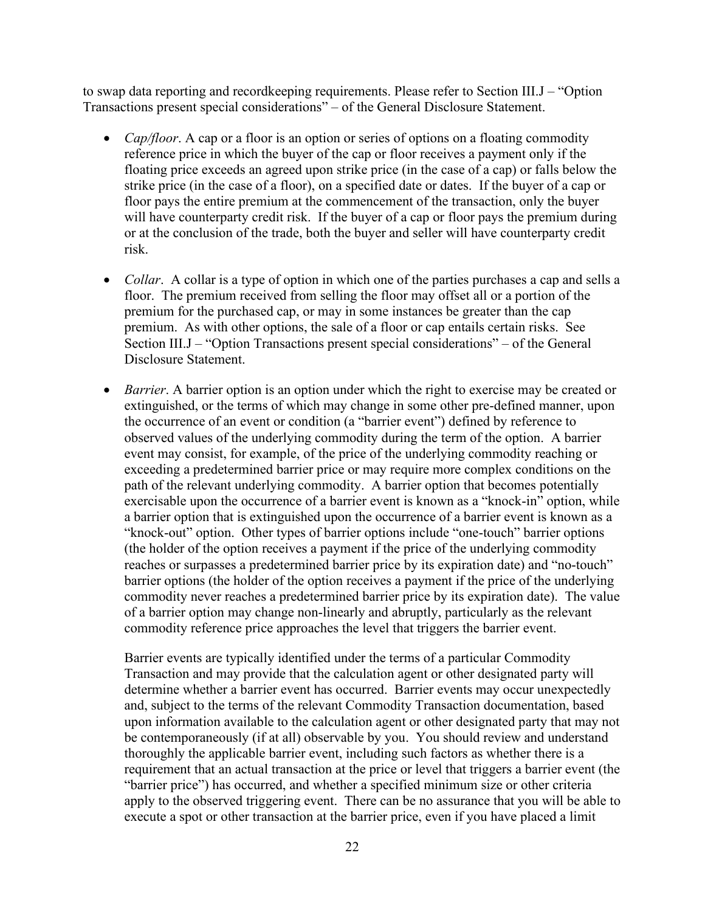to swap data reporting and recordkeeping requirements. Please refer to Section III.J – "Option Transactions present special considerations" – of the General Disclosure Statement.

- *Cap/floor*. A cap or a floor is an option or series of options on a floating commodity reference price in which the buyer of the cap or floor receives a payment only if the floating price exceeds an agreed upon strike price (in the case of a cap) or falls below the strike price (in the case of a floor), on a specified date or dates. If the buyer of a cap or floor pays the entire premium at the commencement of the transaction, only the buyer will have counterparty credit risk. If the buyer of a cap or floor pays the premium during or at the conclusion of the trade, both the buyer and seller will have counterparty credit risk.
- *Collar*. A collar is a type of option in which one of the parties purchases a cap and sells a floor. The premium received from selling the floor may offset all or a portion of the premium for the purchased cap, or may in some instances be greater than the cap premium. As with other options, the sale of a floor or cap entails certain risks. See Section III.J – "Option Transactions present special considerations" – of the General Disclosure Statement.
- *Barrier*. A barrier option is an option under which the right to exercise may be created or extinguished, or the terms of which may change in some other pre-defined manner, upon the occurrence of an event or condition (a "barrier event") defined by reference to observed values of the underlying commodity during the term of the option. A barrier event may consist, for example, of the price of the underlying commodity reaching or exceeding a predetermined barrier price or may require more complex conditions on the path of the relevant underlying commodity. A barrier option that becomes potentially exercisable upon the occurrence of a barrier event is known as a "knock-in" option, while a barrier option that is extinguished upon the occurrence of a barrier event is known as a "knock-out" option. Other types of barrier options include "one-touch" barrier options (the holder of the option receives a payment if the price of the underlying commodity reaches or surpasses a predetermined barrier price by its expiration date) and "no-touch" barrier options (the holder of the option receives a payment if the price of the underlying commodity never reaches a predetermined barrier price by its expiration date). The value of a barrier option may change non-linearly and abruptly, particularly as the relevant commodity reference price approaches the level that triggers the barrier event.

Barrier events are typically identified under the terms of a particular Commodity Transaction and may provide that the calculation agent or other designated party will determine whether a barrier event has occurred. Barrier events may occur unexpectedly and, subject to the terms of the relevant Commodity Transaction documentation, based upon information available to the calculation agent or other designated party that may not be contemporaneously (if at all) observable by you. You should review and understand thoroughly the applicable barrier event, including such factors as whether there is a requirement that an actual transaction at the price or level that triggers a barrier event (the "barrier price") has occurred, and whether a specified minimum size or other criteria apply to the observed triggering event. There can be no assurance that you will be able to execute a spot or other transaction at the barrier price, even if you have placed a limit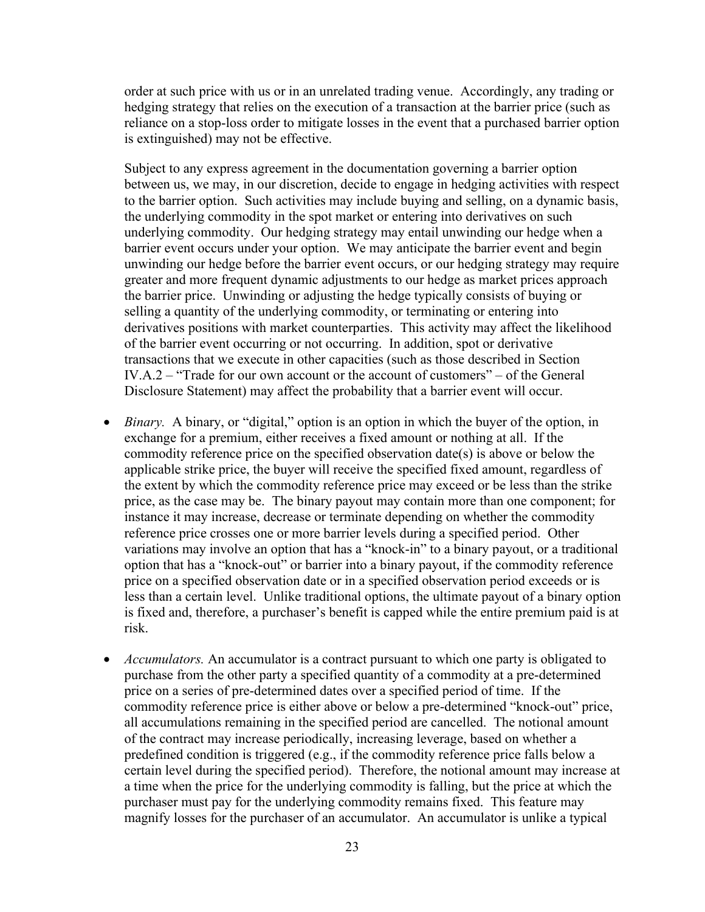order at such price with us or in an unrelated trading venue. Accordingly, any trading or hedging strategy that relies on the execution of a transaction at the barrier price (such as reliance on a stop-loss order to mitigate losses in the event that a purchased barrier option is extinguished) may not be effective.

Subject to any express agreement in the documentation governing a barrier option between us, we may, in our discretion, decide to engage in hedging activities with respect to the barrier option. Such activities may include buying and selling, on a dynamic basis, the underlying commodity in the spot market or entering into derivatives on such underlying commodity. Our hedging strategy may entail unwinding our hedge when a barrier event occurs under your option. We may anticipate the barrier event and begin unwinding our hedge before the barrier event occurs, or our hedging strategy may require greater and more frequent dynamic adjustments to our hedge as market prices approach the barrier price. Unwinding or adjusting the hedge typically consists of buying or selling a quantity of the underlying commodity, or terminating or entering into derivatives positions with market counterparties. This activity may affect the likelihood of the barrier event occurring or not occurring. In addition, spot or derivative transactions that we execute in other capacities (such as those described in Section IV.A.2 – "Trade for our own account or the account of customers" – of the General Disclosure Statement) may affect the probability that a barrier event will occur.

- *Binary*. A binary, or "digital," option is an option in which the buyer of the option, in exchange for a premium, either receives a fixed amount or nothing at all. If the commodity reference price on the specified observation date(s) is above or below the applicable strike price, the buyer will receive the specified fixed amount, regardless of the extent by which the commodity reference price may exceed or be less than the strike price, as the case may be. The binary payout may contain more than one component; for instance it may increase, decrease or terminate depending on whether the commodity reference price crosses one or more barrier levels during a specified period. Other variations may involve an option that has a "knock-in" to a binary payout, or a traditional option that has a "knock-out" or barrier into a binary payout, if the commodity reference price on a specified observation date or in a specified observation period exceeds or is less than a certain level. Unlike traditional options, the ultimate payout of a binary option is fixed and, therefore, a purchaser's benefit is capped while the entire premium paid is at risk.
- *Accumulators.* An accumulator is a contract pursuant to which one party is obligated to purchase from the other party a specified quantity of a commodity at a pre-determined price on a series of pre-determined dates over a specified period of time. If the commodity reference price is either above or below a pre-determined "knock-out" price, all accumulations remaining in the specified period are cancelled. The notional amount of the contract may increase periodically, increasing leverage, based on whether a predefined condition is triggered (e.g., if the commodity reference price falls below a certain level during the specified period). Therefore, the notional amount may increase at a time when the price for the underlying commodity is falling, but the price at which the purchaser must pay for the underlying commodity remains fixed. This feature may magnify losses for the purchaser of an accumulator. An accumulator is unlike a typical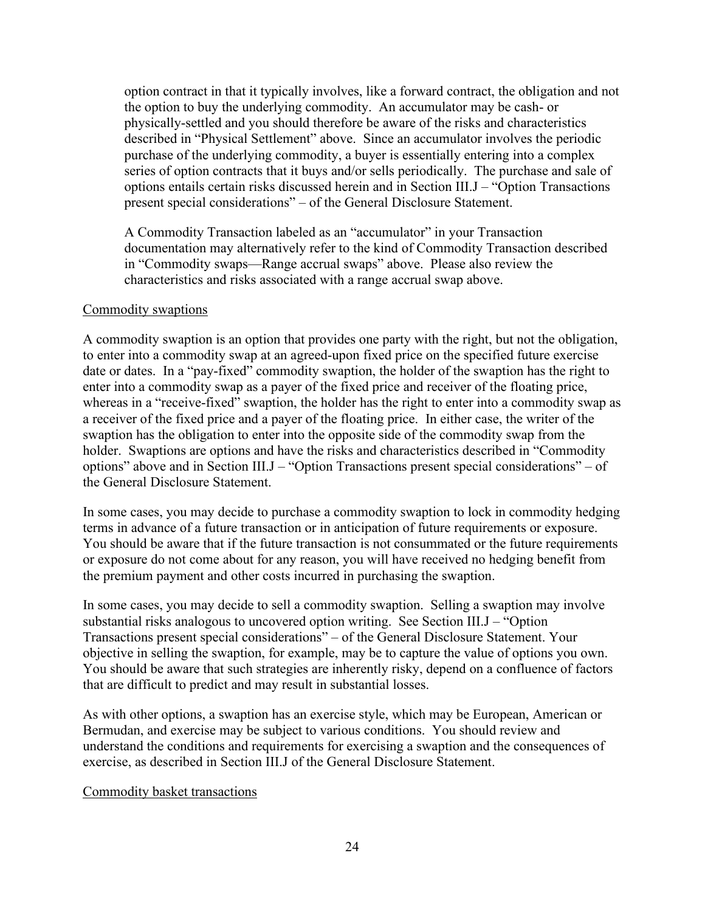option contract in that it typically involves, like a forward contract, the obligation and not the option to buy the underlying commodity. An accumulator may be cash- or physically-settled and you should therefore be aware of the risks and characteristics described in "Physical Settlement" above. Since an accumulator involves the periodic purchase of the underlying commodity, a buyer is essentially entering into a complex series of option contracts that it buys and/or sells periodically. The purchase and sale of options entails certain risks discussed herein and in Section III.J – "Option Transactions present special considerations" – of the General Disclosure Statement.

A Commodity Transaction labeled as an "accumulator" in your Transaction documentation may alternatively refer to the kind of Commodity Transaction described in "Commodity swaps—Range accrual swaps" above. Please also review the characteristics and risks associated with a range accrual swap above.

#### Commodity swaptions

A commodity swaption is an option that provides one party with the right, but not the obligation, to enter into a commodity swap at an agreed-upon fixed price on the specified future exercise date or dates. In a "pay-fixed" commodity swaption, the holder of the swaption has the right to enter into a commodity swap as a payer of the fixed price and receiver of the floating price, whereas in a "receive-fixed" swaption, the holder has the right to enter into a commodity swap as a receiver of the fixed price and a payer of the floating price. In either case, the writer of the swaption has the obligation to enter into the opposite side of the commodity swap from the holder. Swaptions are options and have the risks and characteristics described in "Commodity options" above and in Section III.J – "Option Transactions present special considerations" – of the General Disclosure Statement.

In some cases, you may decide to purchase a commodity swaption to lock in commodity hedging terms in advance of a future transaction or in anticipation of future requirements or exposure. You should be aware that if the future transaction is not consummated or the future requirements or exposure do not come about for any reason, you will have received no hedging benefit from the premium payment and other costs incurred in purchasing the swaption.

In some cases, you may decide to sell a commodity swaption. Selling a swaption may involve substantial risks analogous to uncovered option writing. See Section III.J – "Option Transactions present special considerations" – of the General Disclosure Statement. Your objective in selling the swaption, for example, may be to capture the value of options you own. You should be aware that such strategies are inherently risky, depend on a confluence of factors that are difficult to predict and may result in substantial losses.

As with other options, a swaption has an exercise style, which may be European, American or Bermudan, and exercise may be subject to various conditions. You should review and understand the conditions and requirements for exercising a swaption and the consequences of exercise, as described in Section III.J of the General Disclosure Statement.

## Commodity basket transactions